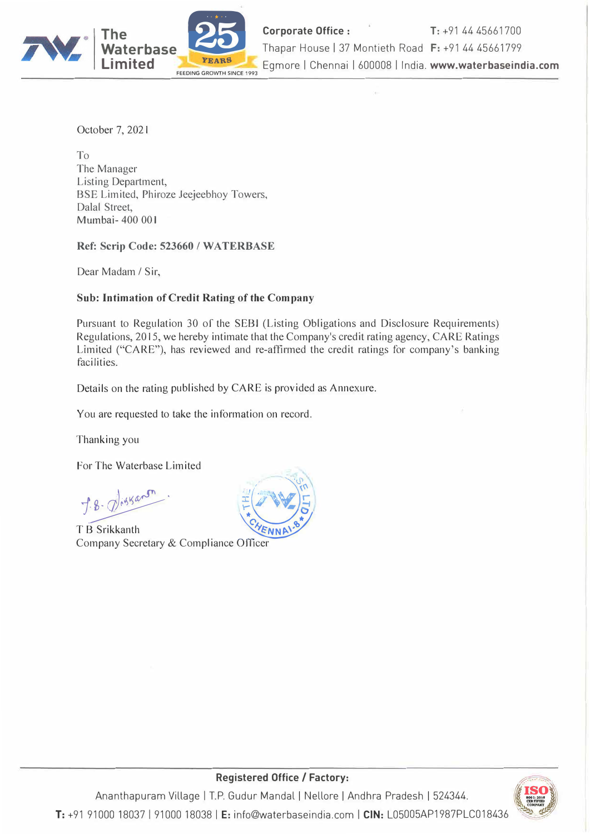

October 7, 2021

To The Manager Listing Department, BSE Limited, Phiroze Jeejeebhoy Towers, Dalal Street, **Mumbai-** 400 001

**Ref: Scrip Code: 523660 / WA TERBASE** 

Dear Madam/ Sir,

# **Sub: Intimation of Credit Rating of the Company**

Pursuant to Regulation 30 of the SEBI (Listing Obligations and Disclosure Requirements) Regulations, 2015, we hereby intimate that the Company's credit rating agency, CARE Ratings Limited ("CARE"), has reviewed and re-affirmed the credit ratings for company's banking facilities.

Details on the rating published by CARE is provided as Annexure.

You are requested to take the information on record.

Thanking you

For The Waterbase Limited

1�· ��]

Company Secretary & Compliance Officer





**Registered Office / Factory:** 

I I I � Ananthapuram Village I T.P. Gudur Mandal Nellore Andhra Pradesh 524344. ' � ..!,, ::= **CON1'Alff ,D** � **T:** +91 9100018037191000 18038 **IE:** info@waterbaseindia.com I **CIN:** L05005AP1987PLC018436 ,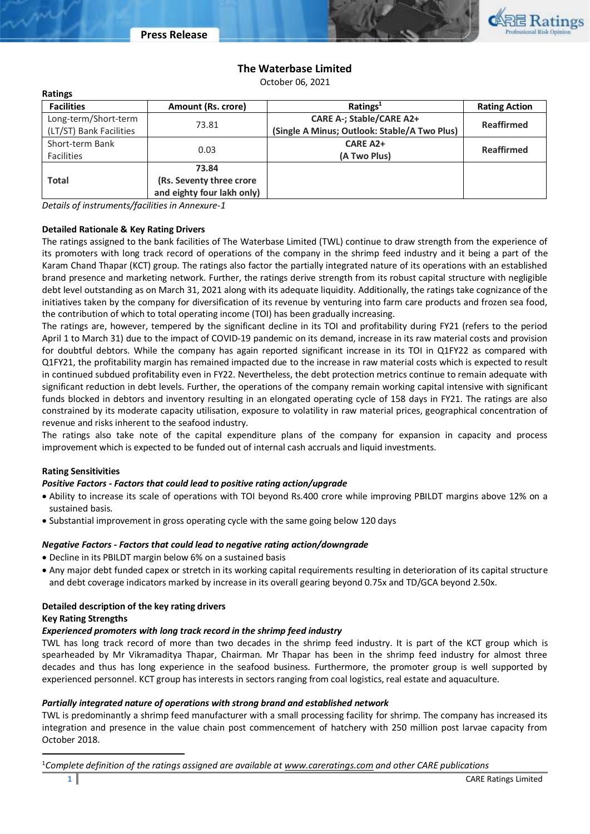

# **The Waterbase Limited**

October 06, 2021

| <b>Ratings</b>          |                            |                                              |                      |  |
|-------------------------|----------------------------|----------------------------------------------|----------------------|--|
| <b>Facilities</b>       | Amount (Rs. crore)         | Ratings <sup>1</sup>                         | <b>Rating Action</b> |  |
| Long-term/Short-term    |                            | <b>CARE A-; Stable/CARE A2+</b>              |                      |  |
| (LT/ST) Bank Facilities | 73.81                      | (Single A Minus; Outlook: Stable/A Two Plus) | <b>Reaffirmed</b>    |  |
| Short-term Bank         | 0.03                       | <b>CARE A2+</b>                              | <b>Reaffirmed</b>    |  |
| <b>Facilities</b>       |                            | (A Two Plus)                                 |                      |  |
|                         | 73.84                      |                                              |                      |  |
| <b>Total</b>            | (Rs. Seventy three crore   |                                              |                      |  |
|                         | and eighty four lakh only) |                                              |                      |  |

*Details of instruments/facilities in Annexure-1*

### **Detailed Rationale & Key Rating Drivers**

The ratings assigned to the bank facilities of The Waterbase Limited (TWL) continue to draw strength from the experience of its promoters with long track record of operations of the company in the shrimp feed industry and it being a part of the Karam Chand Thapar (KCT) group. The ratings also factor the partially integrated nature of its operations with an established brand presence and marketing network. Further, the ratings derive strength from its robust capital structure with negligible debt level outstanding as on March 31, 2021 along with its adequate liquidity. Additionally, the ratings take cognizance of the initiatives taken by the company for diversification of its revenue by venturing into farm care products and frozen sea food, the contribution of which to total operating income (TOI) has been gradually increasing.

The ratings are, however, tempered by the significant decline in its TOI and profitability during FY21 (refers to the period April 1 to March 31) due to the impact of COVID-19 pandemic on its demand, increase in its raw material costs and provision for doubtful debtors. While the company has again reported significant increase in its TOI in Q1FY22 as compared with Q1FY21, the profitability margin has remained impacted due to the increase in raw material costs which is expected to result in continued subdued profitability even in FY22. Nevertheless, the debt protection metrics continue to remain adequate with significant reduction in debt levels. Further, the operations of the company remain working capital intensive with significant funds blocked in debtors and inventory resulting in an elongated operating cycle of 158 days in FY21. The ratings are also constrained by its moderate capacity utilisation, exposure to volatility in raw material prices, geographical concentration of revenue and risks inherent to the seafood industry.

The ratings also take note of the capital expenditure plans of the company for expansion in capacity and process improvement which is expected to be funded out of internal cash accruals and liquid investments.

# **Rating Sensitivities**

#### *Positive Factors - Factors that could lead to positive rating action/upgrade*

- Ability to increase its scale of operations with TOI beyond Rs.400 crore while improving PBILDT margins above 12% on a sustained basis.
- Substantial improvement in gross operating cycle with the same going below 120 days

#### *Negative Factors - Factors that could lead to negative rating action/downgrade*

- Decline in its PBILDT margin below 6% on a sustained basis
- Any major debt funded capex or stretch in its working capital requirements resulting in deterioration of its capital structure and debt coverage indicators marked by increase in its overall gearing beyond 0.75x and TD/GCA beyond 2.50x.

#### **Detailed description of the key rating drivers Key Rating Strengths**

# *Experienced promoters with long track record in the shrimp feed industry*

TWL has long track record of more than two decades in the shrimp feed industry. It is part of the KCT group which is spearheaded by Mr Vikramaditya Thapar, Chairman. Mr Thapar has been in the shrimp feed industry for almost three decades and thus has long experience in the seafood business. Furthermore, the promoter group is well supported by experienced personnel. KCT group has interests in sectors ranging from coal logistics, real estate and aquaculture.

# *Partially integrated nature of operations with strong brand and established network*

TWL is predominantly a shrimp feed manufacturer with a small processing facility for shrimp. The company has increased its integration and presence in the value chain post commencement of hatchery with 250 million post larvae capacity from October 2018.

<sup>1</sup>*Complete definition of the ratings assigned are available at www.careratings.com and other CARE publications*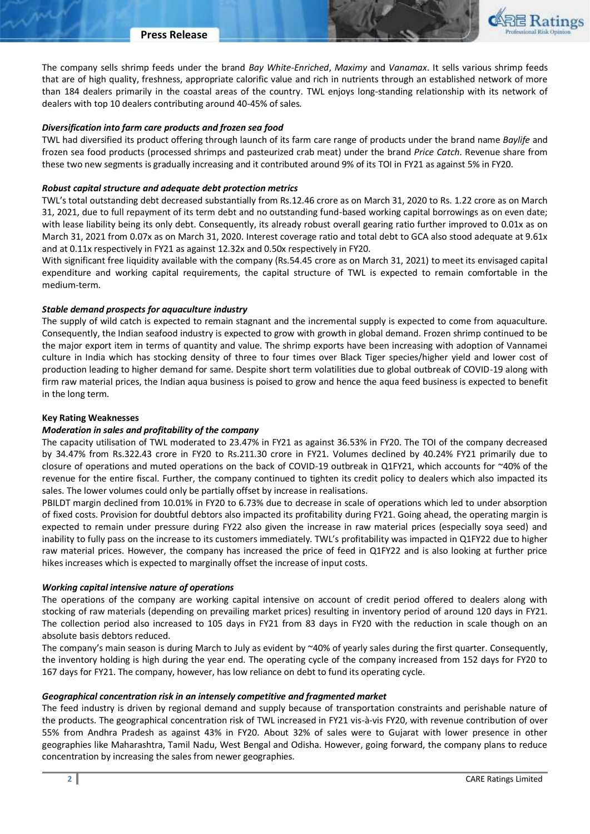The company sells shrimp feeds under the brand *Bay White-Enriched*, *Maximy* and *Vanamax*. It sells various shrimp feeds that are of high quality, freshness, appropriate calorific value and rich in nutrients through an established network of more than 184 dealers primarily in the coastal areas of the country. TWL enjoys long-standing relationship with its network of dealers with top 10 dealers contributing around 40-45% of sales*.*

#### *Diversification into farm care products and frozen sea food*

TWL had diversified its product offering through launch of its farm care range of products under the brand name *Baylife* and frozen sea food products (processed shrimps and pasteurized crab meat) under the brand *Price Catch*. Revenue share from these two new segments is gradually increasing and it contributed around 9% of its TOI in FY21 as against 5% in FY20.

#### *Robust capital structure and adequate debt protection metrics*

TWL's total outstanding debt decreased substantially from Rs.12.46 crore as on March 31, 2020 to Rs. 1.22 crore as on March 31, 2021, due to full repayment of its term debt and no outstanding fund-based working capital borrowings as on even date; with lease liability being its only debt. Consequently, its already robust overall gearing ratio further improved to 0.01x as on March 31, 2021 from 0.07x as on March 31, 2020. Interest coverage ratio and total debt to GCA also stood adequate at 9.61x and at 0.11x respectively in FY21 as against 12.32x and 0.50x respectively in FY20.

With significant free liquidity available with the company (Rs.54.45 crore as on March 31, 2021) to meet its envisaged capital expenditure and working capital requirements, the capital structure of TWL is expected to remain comfortable in the medium-term.

#### *Stable demand prospects for aquaculture industry*

The supply of wild catch is expected to remain stagnant and the incremental supply is expected to come from aquaculture. Consequently, the Indian seafood industry is expected to grow with growth in global demand. Frozen shrimp continued to be the major export item in terms of quantity and value. The shrimp exports have been increasing with adoption of Vannamei culture in India which has stocking density of three to four times over Black Tiger species/higher yield and lower cost of production leading to higher demand for same. Despite short term volatilities due to global outbreak of COVID-19 along with firm raw material prices, the Indian aqua business is poised to grow and hence the aqua feed business is expected to benefit in the long term.

### **Key Rating Weaknesses**

#### *Moderation in sales and profitability of the company*

The capacity utilisation of TWL moderated to 23.47% in FY21 as against 36.53% in FY20. The TOI of the company decreased by 34.47% from Rs.322.43 crore in FY20 to Rs.211.30 crore in FY21. Volumes declined by 40.24% FY21 primarily due to closure of operations and muted operations on the back of COVID-19 outbreak in Q1FY21, which accounts for ~40% of the revenue for the entire fiscal. Further, the company continued to tighten its credit policy to dealers which also impacted its sales. The lower volumes could only be partially offset by increase in realisations.

PBILDT margin declined from 10.01% in FY20 to 6.73% due to decrease in scale of operations which led to under absorption of fixed costs. Provision for doubtful debtors also impacted its profitability during FY21. Going ahead, the operating margin is expected to remain under pressure during FY22 also given the increase in raw material prices (especially soya seed) and inability to fully pass on the increase to its customers immediately. TWL's profitability was impacted in Q1FY22 due to higher raw material prices. However, the company has increased the price of feed in Q1FY22 and is also looking at further price hikes increases which is expected to marginally offset the increase of input costs.

#### *Working capital intensive nature of operations*

The operations of the company are working capital intensive on account of credit period offered to dealers along with stocking of raw materials (depending on prevailing market prices) resulting in inventory period of around 120 days in FY21. The collection period also increased to 105 days in FY21 from 83 days in FY20 with the reduction in scale though on an absolute basis debtors reduced.

The company's main season is during March to July as evident by  $\sim$ 40% of yearly sales during the first quarter. Consequently, the inventory holding is high during the year end. The operating cycle of the company increased from 152 days for FY20 to 167 days for FY21. The company, however, has low reliance on debt to fund its operating cycle.

#### *Geographical concentration risk in an intensely competitive and fragmented market*

The feed industry is driven by regional demand and supply because of transportation constraints and perishable nature of the products. The geographical concentration risk of TWL increased in FY21 vis-à-vis FY20, with revenue contribution of over 55% from Andhra Pradesh as against 43% in FY20. About 32% of sales were to Gujarat with lower presence in other geographies like Maharashtra, Tamil Nadu, West Bengal and Odisha. However, going forward, the company plans to reduce concentration by increasing the sales from newer geographies.

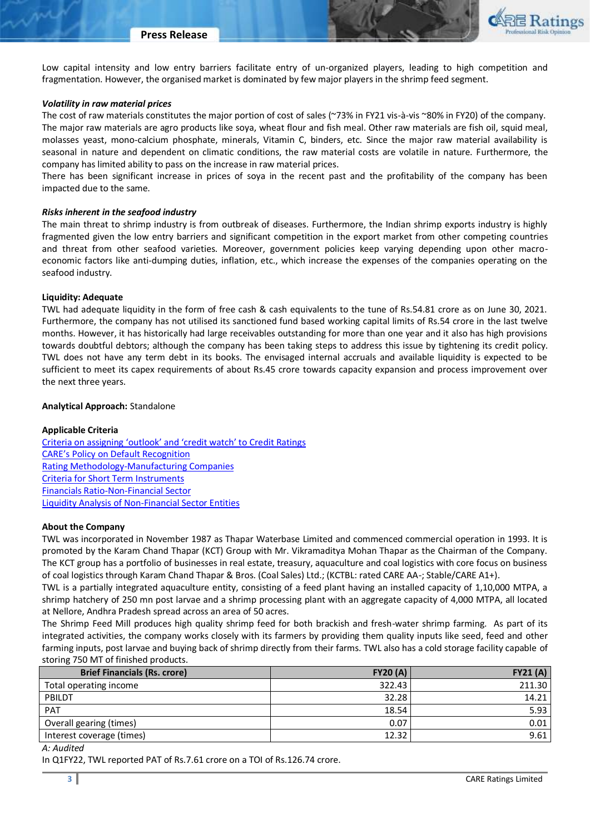Low capital intensity and low entry barriers facilitate entry of un-organized players, leading to high competition and fragmentation. However, the organised market is dominated by few major players in the shrimp feed segment.

#### *Volatility in raw material prices*

The cost of raw materials constitutes the major portion of cost of sales (~73% in FY21 vis-à-vis ~80% in FY20) of the company. The major raw materials are agro products like soya, wheat flour and fish meal. Other raw materials are fish oil, squid meal, molasses yeast, mono-calcium phosphate, minerals, Vitamin C, binders, etc. Since the major raw material availability is seasonal in nature and dependent on climatic conditions, the raw material costs are volatile in nature. Furthermore, the company has limited ability to pass on the increase in raw material prices.

There has been significant increase in prices of soya in the recent past and the profitability of the company has been impacted due to the same.

#### *Risks inherent in the seafood industry*

The main threat to shrimp industry is from outbreak of diseases. Furthermore, the Indian shrimp exports industry is highly fragmented given the low entry barriers and significant competition in the export market from other competing countries and threat from other seafood varieties. Moreover, government policies keep varying depending upon other macroeconomic factors like anti-dumping duties, inflation, etc., which increase the expenses of the companies operating on the seafood industry.

### **Liquidity: Adequate**

TWL had adequate liquidity in the form of free cash & cash equivalents to the tune of Rs.54.81 crore as on June 30, 2021. Furthermore, the company has not utilised its sanctioned fund based working capital limits of Rs.54 crore in the last twelve months. However, it has historically had large receivables outstanding for more than one year and it also has high provisions towards doubtful debtors; although the company has been taking steps to address this issue by tightening its credit policy. TWL does not have any term debt in its books. The envisaged internal accruals and available liquidity is expected to be sufficient to meet its capex requirements of about Rs.45 crore towards capacity expansion and process improvement over the next three years.

### **Analytical Approach:** Standalone

# **Applicable Criteria**

[Criteria on assigning 'outlook' and 'credit watch' to Cre](https://www.careratings.com/upload/NewsFiles/GetRated/Rating%20Outlook%20and%20credit%20watch%20_30May%202020.pdf)dit Ratings [CARE's Policy on Default Recognition](https://www.careratings.com/pdf/resources/CARE) [Rating Methodology-Manufacturing Companies](https://www.careratings.com/upload/NewsFiles/GetRated/Rating%20Methodology%20-%20Manufacturing%20Companies-12Dec20.pdf) [Criteria for Short Term Instruments](https://www.careratings.com/upload/NewsFiles/GetRated/Short%20Term%20Instruments%20_Feb2021.pdf) [Financials Ratio-Non-Financial Sector](https://www.careratings.com/pdf/resources/Financial%20ratios%20-%20Non%20Financial%20Sector-Mar%2021.pdf) [Liquidity Analysis of Non-Financial Sector Entities](https://www.careratings.com/pdf/resources/Liquidity%20Analysis%20of%20Non-Financial%20Sector%20entities_May2020.pdf)

#### **About the Company**

TWL was incorporated in November 1987 as Thapar Waterbase Limited and commenced commercial operation in 1993. It is promoted by the Karam Chand Thapar (KCT) Group with Mr. Vikramaditya Mohan Thapar as the Chairman of the Company. The KCT group has a portfolio of businesses in real estate, treasury, aquaculture and coal logistics with core focus on business of coal logistics through Karam Chand Thapar & Bros. (Coal Sales) Ltd.; (KCTBL: rated CARE AA-; Stable/CARE A1+).

TWL is a partially integrated aquaculture entity, consisting of a feed plant having an installed capacity of 1,10,000 MTPA, a shrimp hatchery of 250 mn post larvae and a shrimp processing plant with an aggregate capacity of 4,000 MTPA, all located at Nellore, Andhra Pradesh spread across an area of 50 acres.

The Shrimp Feed Mill produces high quality shrimp feed for both brackish and fresh-water shrimp farming. As part of its integrated activities, the company works closely with its farmers by providing them quality inputs like seed, feed and other farming inputs, post larvae and buying back of shrimp directly from their farms. TWL also has a cold storage facility capable of storing 750 MT of finished products.

| <b>Brief Financials (Rs. crore)</b> | <b>FY20 (A)</b> | FY21(A) |
|-------------------------------------|-----------------|---------|
| Total operating income              | 322.43          | 211.30  |
| PBILDT                              | 32.28           | 14.21   |
| <b>PAT</b>                          | 18.54           | 5.93    |
| Overall gearing (times)             | 0.07            | 0.01    |
| Interest coverage (times)           | 12.32           | 9.61    |

## *A: Audited*

In Q1FY22, TWL reported PAT of Rs.7.61 crore on a TOI of Rs.126.74 crore.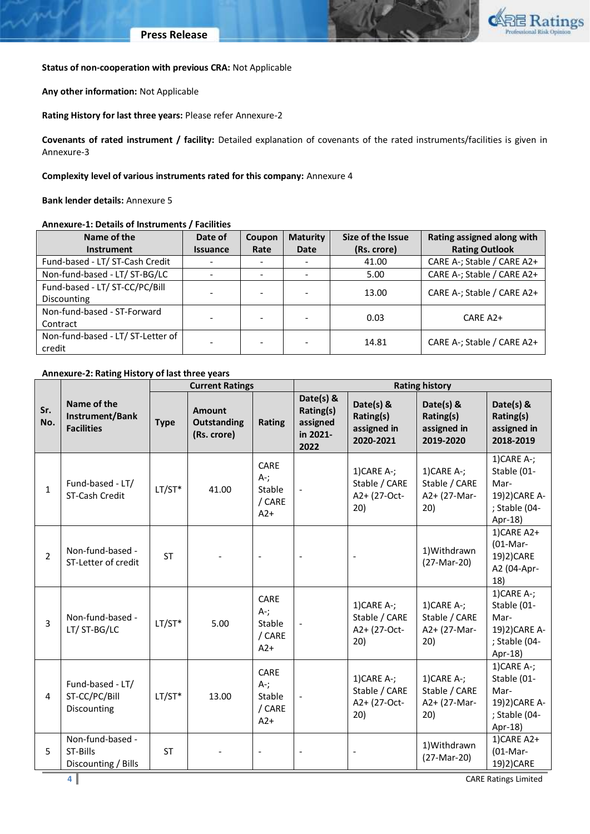

## **Status of non-cooperation with previous CRA:** Not Applicable

**Any other information:** Not Applicable

**Rating History for last three years:** Please refer Annexure-2

**Covenants of rated instrument / facility:** Detailed explanation of covenants of the rated instruments/facilities is given in Annexure-3

## **Complexity level of various instruments rated for this company:** Annexure 4

**Bank lender details:** Annexure 5

## **Annexure-1: Details of Instruments / Facilities**

| Name of the                       | Date of         | Coupon | <b>Maturity</b> | Size of the Issue | Rating assigned along with |
|-----------------------------------|-----------------|--------|-----------------|-------------------|----------------------------|
| <b>Instrument</b>                 | <b>Issuance</b> | Rate   | Date            | (Rs. crore)       | <b>Rating Outlook</b>      |
| Fund-based - LT/ ST-Cash Credit   |                 |        |                 | 41.00             | CARE A-; Stable / CARE A2+ |
| Non-fund-based - LT/ ST-BG/LC     |                 |        |                 | 5.00              | CARE A-; Stable / CARE A2+ |
| Fund-based - LT/ ST-CC/PC/Bill    |                 |        |                 | 13.00             | CARE A-; Stable / CARE A2+ |
| <b>Discounting</b>                |                 |        |                 |                   |                            |
| Non-fund-based - ST-Forward       |                 |        |                 | 0.03              | $CARE A2+$                 |
| Contract                          |                 |        |                 |                   |                            |
| Non-fund-based - LT/ ST-Letter of |                 |        |                 | 14.81             | CARE A-; Stable / CARE A2+ |
| credit                            |                 |        |                 |                   |                            |

# **Annexure-2: Rating History of last three years**

|                |                                                     |             | <b>Current Ratings</b>                             |                                              | <b>Rating history</b>                                  |                                                       |                                                       |                                                                                   |
|----------------|-----------------------------------------------------|-------------|----------------------------------------------------|----------------------------------------------|--------------------------------------------------------|-------------------------------------------------------|-------------------------------------------------------|-----------------------------------------------------------------------------------|
| Sr.<br>No.     | Name of the<br>Instrument/Bank<br><b>Facilities</b> | <b>Type</b> | <b>Amount</b><br><b>Outstanding</b><br>(Rs. crore) | Rating                                       | Date(s) &<br>Rating(s)<br>assigned<br>in 2021-<br>2022 | Date(s) &<br>Rating(s)<br>assigned in<br>2020-2021    | Date(s) &<br>Rating(s)<br>assigned in<br>2019-2020    | Date(s) &<br>Rating(s)<br>assigned in<br>2018-2019                                |
| $\mathbf{1}$   | Fund-based - LT/<br>ST-Cash Credit                  | $LT/ST*$    | 41.00                                              | CARE<br>$A - j$<br>Stable<br>/ CARE<br>$A2+$ | $\overline{\phantom{a}}$                               | $1)$ CARE A-;<br>Stable / CARE<br>A2+ (27-Oct-<br>20) | $1)$ CARE A-;<br>Stable / CARE<br>A2+ (27-Mar-<br>20) | $1)$ CARE A-;<br>Stable (01-<br>Mar-<br>19)2) CARE A-<br>; Stable (04-<br>Apr-18) |
| $\overline{2}$ | Non-fund-based -<br>ST-Letter of credit             | <b>ST</b>   |                                                    |                                              |                                                        |                                                       | 1) Withdrawn<br>(27-Mar-20)                           | 1)CARE A2+<br>$(01-Mar-$<br>19)2)CARE<br>A2 (04-Apr-<br>18)                       |
| $\overline{3}$ | Non-fund-based -<br>LT/ST-BG/LC                     | $LT/ST*$    | 5.00                                               | CARE<br>$A -$ ;<br>Stable<br>/ CARE<br>$A2+$ |                                                        | $1)$ CARE A-;<br>Stable / CARE<br>A2+ (27-Oct-<br>20) | $1)$ CARE A-;<br>Stable / CARE<br>A2+ (27-Mar-<br>20) | $1)$ CARE A-;<br>Stable (01-<br>Mar-<br>19)2) CARE A-<br>; Stable (04-<br>Apr-18) |
| 4              | Fund-based - LT/<br>ST-CC/PC/Bill<br>Discounting    | $LT/ST*$    | 13.00                                              | CARE<br>$A -$ ;<br>Stable<br>/ CARE<br>$A2+$ |                                                        | $1)$ CARE A-;<br>Stable / CARE<br>A2+ (27-Oct-<br>20) | $1)$ CARE A-;<br>Stable / CARE<br>A2+ (27-Mar-<br>20) | $1)$ CARE A-;<br>Stable (01-<br>Mar-<br>19)2) CARE A-<br>; Stable (04-<br>Apr-18) |
| 5              | Non-fund-based -<br>ST-Bills<br>Discounting / Bills | <b>ST</b>   |                                                    | $\blacksquare$                               |                                                        |                                                       | 1) Withdrawn<br>(27-Mar-20)                           | 1)CARE A2+<br>$(01-Mar-$<br>19)2)CARE                                             |

**4** CARE Ratings Limited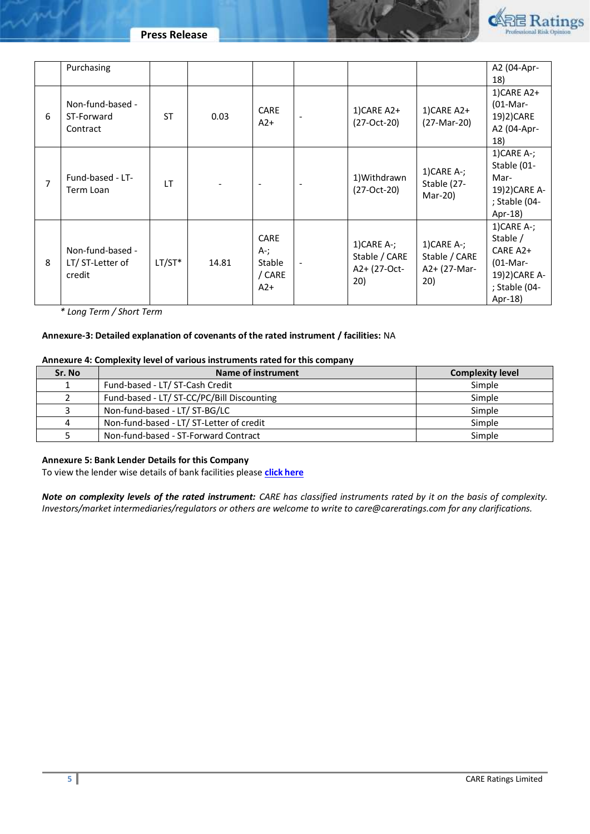



|   | Purchasing                                    |           |       |                                                 |                          |                                                       |                                                       | A2 (04-Apr-                                                                                                   |
|---|-----------------------------------------------|-----------|-------|-------------------------------------------------|--------------------------|-------------------------------------------------------|-------------------------------------------------------|---------------------------------------------------------------------------------------------------------------|
|   |                                               |           |       |                                                 |                          |                                                       |                                                       | 18)                                                                                                           |
| 6 | Non-fund-based -<br>ST-Forward<br>Contract    | <b>ST</b> | 0.03  | <b>CARE</b><br>$A2+$                            |                          | 1)CARE A2+<br>(27-Oct-20)                             | 1)CARE A2+<br>(27-Mar-20)                             | 1)CARE A2+<br>$(01-Mar-$<br>19)2)CARE<br>A2 (04-Apr-<br>18)                                                   |
| 7 | Fund-based - LT-<br>Term Loan                 | IT.       |       | $\overline{\phantom{a}}$                        | $\overline{\phantom{a}}$ | 1) Withdrawn<br>(27-Oct-20)                           | $1)$ CARE A-;<br>Stable (27-<br>Mar-20)               | $1)$ CARE A-;<br>Stable (01-<br>Mar-<br>19)2) CARE A-<br>; Stable (04-<br>Apr-18)                             |
| 8 | Non-fund-based -<br>LT/ST-Letter of<br>credit | $LT/ST*$  | 14.81 | <b>CARE</b><br>A-;<br>Stable<br>/ CARE<br>$A2+$ | $\overline{\phantom{a}}$ | $1)$ CARE A-;<br>Stable / CARE<br>A2+ (27-Oct-<br>20) | $1)$ CARE A-;<br>Stable / CARE<br>A2+ (27-Mar-<br>20) | $1)$ CARE A-;<br>Stable /<br>CARE A <sub>2</sub> +<br>$(01-Mar-$<br>19)2) CARE A-<br>; Stable (04-<br>Apr-18) |

*\* Long Term / Short Term*

# **Annexure-3: Detailed explanation of covenants of the rated instrument / facilities:** NA

## **Annexure 4: Complexity level of various instruments rated for this company**

| Sr. No | Name of instrument                         | <b>Complexity level</b> |
|--------|--------------------------------------------|-------------------------|
|        | Fund-based - LT/ ST-Cash Credit            | Simple                  |
|        | Fund-based - LT/ ST-CC/PC/Bill Discounting | Simple                  |
|        | Non-fund-based - LT/ ST-BG/LC              | Simple                  |
| 4      | Non-fund-based - LT/ ST-Letter of credit   | Simple                  |
|        | Non-fund-based - ST-Forward Contract       | Simple                  |

## **Annexure 5: Bank Lender Details for this Company**

To view the lender wise details of bank facilities please **[click here](https://www.careratings.com/Bankdetails.aspx?Id=VC8XO/93Y9wWNMK7ecAX2Q==)**

*Note on complexity levels of the rated instrument: CARE has classified instruments rated by it on the basis of complexity. Investors/market intermediaries/regulators or others are welcome to write to care@careratings.com for any clarifications.*